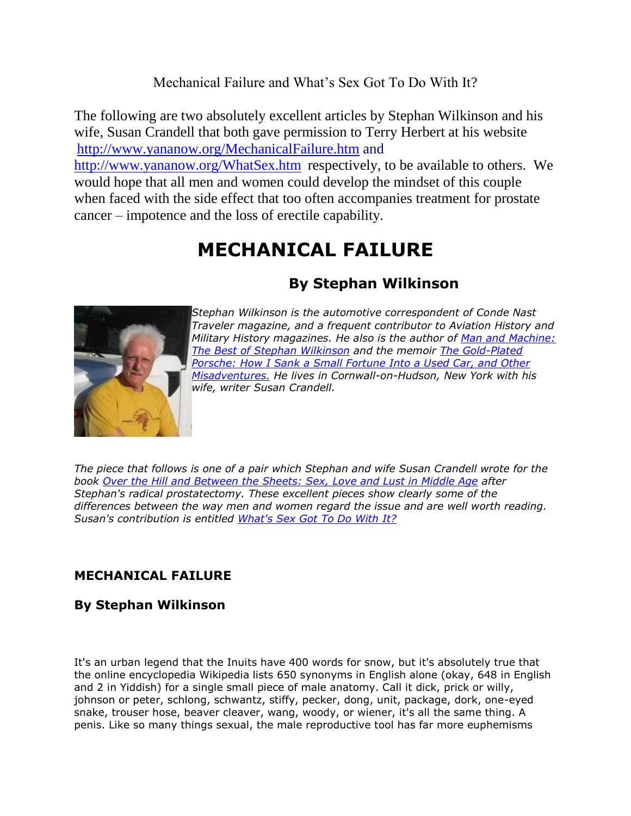Mechanical Failure and What's Sex Got To Do With It?

The following are two absolutely excellent articles by Stephan Wilkinson and his wife, Susan Crandell that both gave permission to Terry Herbert at his website <http://www.yananow.org/MechanicalFailure.htm> and

<http://www.yananow.org/WhatSex.htm> respectively, to be available to others. We would hope that all men and women could develop the mindset of this couple when faced with the side effect that too often accompanies treatment for prostate cancer – impotence and the loss of erectile capability.

# **MECHANICAL FAILURE**

## **By Stephan Wilkinson**



*Stephan Wilkinson is the automotive correspondent of Conde Nast Traveler magazine, and a frequent contributor to Aviation History and Military History magazines. He also is the author of [Man and Machine:](http://www.amazon.com/Man-Machine-Best-Stephan-Wilkinson/dp/159228812X)  [The Best of Stephan Wilkinson](http://www.amazon.com/Man-Machine-Best-Stephan-Wilkinson/dp/159228812X) and the memoir [The Gold-Plated](http://www.amazon.com/s/ref=nb_ss_b?url=search-alias%3Dstripbooks&field-keywords=The+Gold-Plated+Porsche%3A+How+I+Sank+a+Small+Fortune+Into+a+Used+Car%2C+and+Other+Misadventures.&x=15&y=19)*  **Porsche: How I Sank a Small Fortune Into a Used Car, and Other** *[Misadventures.](http://www.amazon.com/s/ref=nb_ss_b?url=search-alias%3Dstripbooks&field-keywords=The+Gold-Plated+Porsche%3A+How+I+Sank+a+Small+Fortune+Into+a+Used+Car%2C+and+Other+Misadventures.&x=15&y=19) He lives in Cornwall-on-Hudson, New York with his wife, writer Susan Crandell.*

*The piece that follows is one of a pair which Stephan and wife Susan Crandell wrote for the book [Over the Hill and Between the Sheets: Sex, Love and Lust in Middle Age](http://www.amazon.com/Over-Hill-Between-Sheets-Middle/dp/0446580791) after Stephan's radical prostatectomy. These excellent pieces show clearly some of the differences between the way men and women regard the issue and are well worth reading. Susan's contribution is entitled [What's Sex Got To Do With It?](http://www.yananow.org/WhatSex.htm)*

### **MECHANICAL FAILURE**

### **By Stephan Wilkinson**

It's an urban legend that the Inuits have 400 words for snow, but it's absolutely true that the online encyclopedia Wikipedia lists 650 synonyms in English alone (okay, 648 in English and 2 in Yiddish) for a single small piece of male anatomy. Call it dick, prick or willy, johnson or peter, schlong, schwantz, stiffy, pecker, dong, unit, package, dork, one-eyed snake, trouser hose, beaver cleaver, wang, woody, or wiener, it's all the same thing. A penis. Like so many things sexual, the male reproductive tool has far more euphemisms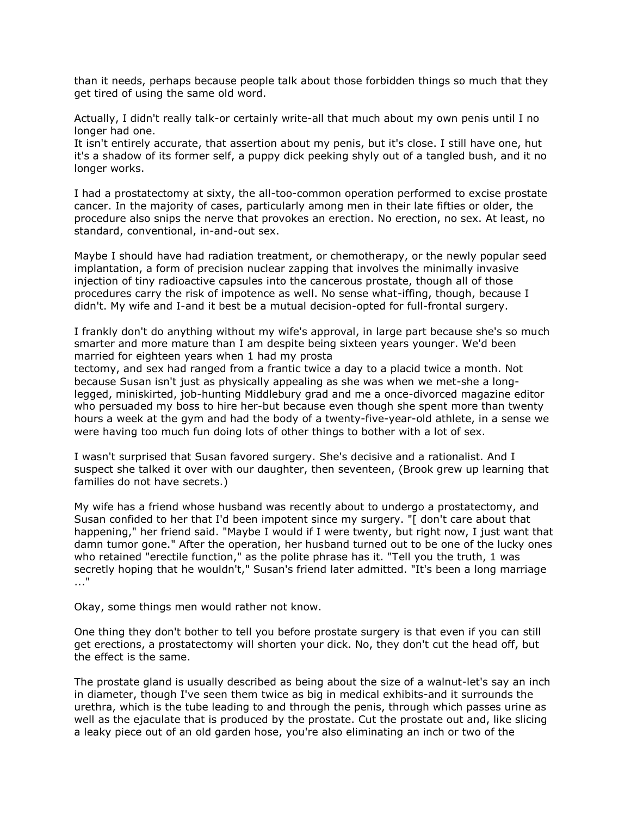than it needs, perhaps because people talk about those forbidden things so much that they get tired of using the same old word.

Actually, I didn't really talk-or certainly write-all that much about my own penis until I no longer had one.

It isn't entirely accurate, that assertion about my penis, but it's close. I still have one, hut it's a shadow of its former self, a puppy dick peeking shyly out of a tangled bush, and it no longer works.

I had a prostatectomy at sixty, the all-too-common operation performed to excise prostate cancer. In the majority of cases, particularly among men in their late fifties or older, the procedure also snips the nerve that provokes an erection. No erection, no sex. At least, no standard, conventional, in-and-out sex.

Maybe I should have had radiation treatment, or chemotherapy, or the newly popular seed implantation, a form of precision nuclear zapping that involves the minimally invasive injection of tiny radioactive capsules into the cancerous prostate, though all of those procedures carry the risk of impotence as well. No sense what-iffing, though, because I didn't. My wife and I-and it best be a mutual decision-opted for full-frontal surgery.

I frankly don't do anything without my wife's approval, in large part because she's so much smarter and more mature than I am despite being sixteen years younger. We'd been married for eighteen years when 1 had my prosta

tectomy, and sex had ranged from a frantic twice a day to a placid twice a month. Not because Susan isn't just as physically appealing as she was when we met-she a longlegged, miniskirted, job-hunting Middlebury grad and me a once-divorced magazine editor who persuaded my boss to hire her-but because even though she spent more than twenty hours a week at the gym and had the body of a twenty-five-year-old athlete, in a sense we were having too much fun doing lots of other things to bother with a lot of sex.

I wasn't surprised that Susan favored surgery. She's decisive and a rationalist. And I suspect she talked it over with our daughter, then seventeen, (Brook grew up learning that families do not have secrets.)

My wife has a friend whose husband was recently about to undergo a prostatectomy, and Susan confided to her that I'd been impotent since my surgery. "[ don't care about that happening," her friend said. "Maybe I would if I were twenty, but right now, I just want that damn tumor gone." After the operation, her husband turned out to be one of the lucky ones who retained "erectile function," as the polite phrase has it. "Tell you the truth, 1 was secretly hoping that he wouldn't," Susan's friend later admitted. "It's been a long marriage ..."

Okay, some things men would rather not know.

One thing they don't bother to tell you before prostate surgery is that even if you can still get erections, a prostatectomy will shorten your dick. No, they don't cut the head off, but the effect is the same.

The prostate gland is usually described as being about the size of a walnut-let's say an inch in diameter, though I've seen them twice as big in medical exhibits-and it surrounds the urethra, which is the tube leading to and through the penis, through which passes urine as well as the ejaculate that is produced by the prostate. Cut the prostate out and, like slicing a leaky piece out of an old garden hose, you're also eliminating an inch or two of the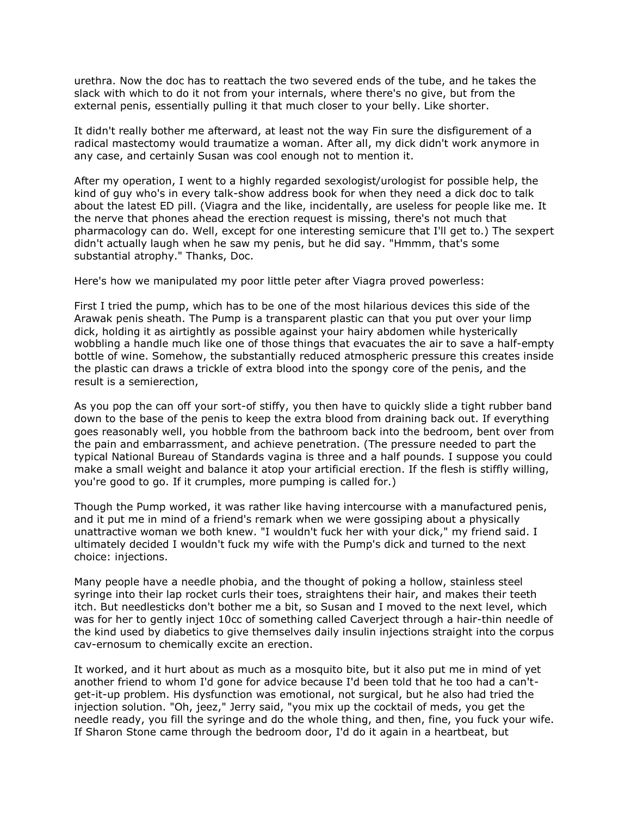urethra. Now the doc has to reattach the two severed ends of the tube, and he takes the slack with which to do it not from your internals, where there's no give, but from the external penis, essentially pulling it that much closer to your belly. Like shorter.

It didn't really bother me afterward, at least not the way Fin sure the disfigurement of a radical mastectomy would traumatize a woman. After all, my dick didn't work anymore in any case, and certainly Susan was cool enough not to mention it.

After my operation, I went to a highly regarded sexologist/urologist for possible help, the kind of guy who's in every talk-show address book for when they need a dick doc to talk about the latest ED pill. (Viagra and the like, incidentally, are useless for people like me. It the nerve that phones ahead the erection request is missing, there's not much that pharmacology can do. Well, except for one interesting semicure that I'll get to.) The sexpert didn't actually laugh when he saw my penis, but he did say. "Hmmm, that's some substantial atrophy." Thanks, Doc.

Here's how we manipulated my poor little peter after Viagra proved powerless:

First I tried the pump, which has to be one of the most hilarious devices this side of the Arawak penis sheath. The Pump is a transparent plastic can that you put over your limp dick, holding it as airtightly as possible against your hairy abdomen while hysterically wobbling a handle much like one of those things that evacuates the air to save a half-empty bottle of wine. Somehow, the substantially reduced atmospheric pressure this creates inside the plastic can draws a trickle of extra blood into the spongy core of the penis, and the result is a semierection,

As you pop the can off your sort-of stiffy, you then have to quickly slide a tight rubber band down to the base of the penis to keep the extra blood from draining back out. If everything goes reasonably well, you hobble from the bathroom back into the bedroom, bent over from the pain and embarrassment, and achieve penetration. (The pressure needed to part the typical National Bureau of Standards vagina is three and a half pounds. I suppose you could make a small weight and balance it atop your artificial erection. If the flesh is stiffly willing, you're good to go. If it crumples, more pumping is called for.)

Though the Pump worked, it was rather like having intercourse with a manufactured penis, and it put me in mind of a friend's remark when we were gossiping about a physically unattractive woman we both knew. "I wouldn't fuck her with your dick," my friend said. I ultimately decided I wouldn't fuck my wife with the Pump's dick and turned to the next choice: injections.

Many people have a needle phobia, and the thought of poking a hollow, stainless steel syringe into their lap rocket curls their toes, straightens their hair, and makes their teeth itch. But needlesticks don't bother me a bit, so Susan and I moved to the next level, which was for her to gently inject 10cc of something called Caverject through a hair-thin needle of the kind used by diabetics to give themselves daily insulin injections straight into the corpus cav-ernosum to chemically excite an erection.

It worked, and it hurt about as much as a mosquito bite, but it also put me in mind of yet another friend to whom I'd gone for advice because I'd been told that he too had a can'tget-it-up problem. His dysfunction was emotional, not surgical, but he also had tried the injection solution. "Oh, jeez," Jerry said, "you mix up the cocktail of meds, you get the needle ready, you fill the syringe and do the whole thing, and then, fine, you fuck your wife. If Sharon Stone came through the bedroom door, I'd do it again in a heartbeat, but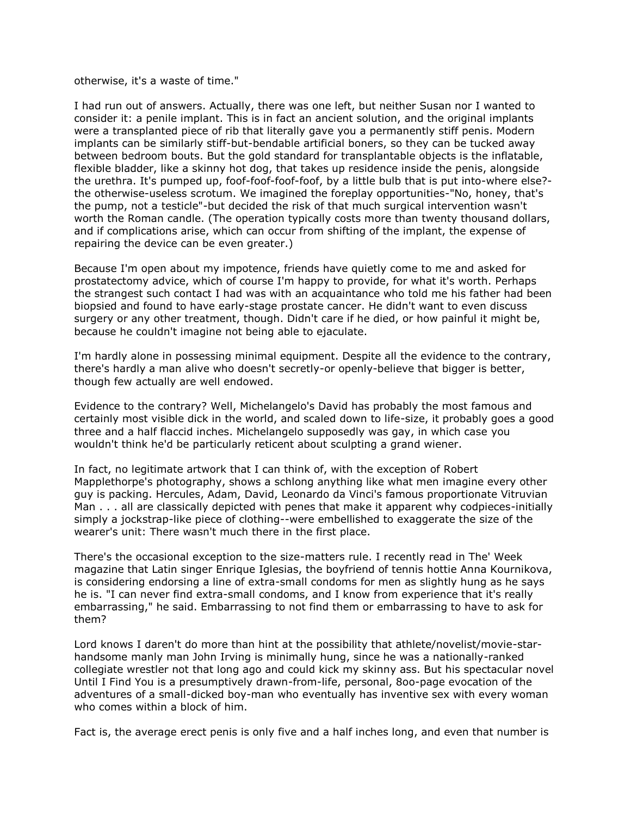#### otherwise, it's a waste of time."

I had run out of answers. Actually, there was one left, but neither Susan nor I wanted to consider it: a penile implant. This is in fact an ancient solution, and the original implants were a transplanted piece of rib that literally gave you a permanently stiff penis. Modern implants can be similarly stiff-but-bendable artificial boners, so they can be tucked away between bedroom bouts. But the gold standard for transplantable objects is the inflatable, flexible bladder, like a skinny hot dog, that takes up residence inside the penis, alongside the urethra. It's pumped up, foof-foof-foof-foof, by a little bulb that is put into-where else? the otherwise-useless scrotum. We imagined the foreplay opportunities-"No, honey, that's the pump, not a testicle"-but decided the risk of that much surgical intervention wasn't worth the Roman candle. (The operation typically costs more than twenty thousand dollars, and if complications arise, which can occur from shifting of the implant, the expense of repairing the device can be even greater.)

Because I'm open about my impotence, friends have quietly come to me and asked for prostatectomy advice, which of course I'm happy to provide, for what it's worth. Perhaps the strangest such contact I had was with an acquaintance who told me his father had been biopsied and found to have early-stage prostate cancer. He didn't want to even discuss surgery or any other treatment, though. Didn't care if he died, or how painful it might be, because he couldn't imagine not being able to ejaculate.

I'm hardly alone in possessing minimal equipment. Despite all the evidence to the contrary, there's hardly a man alive who doesn't secretly-or openly-believe that bigger is better, though few actually are well endowed.

Evidence to the contrary? Well, Michelangelo's David has probably the most famous and certainly most visible dick in the world, and scaled down to life-size, it probably goes a good three and a half flaccid inches. Michelangelo supposedly was gay, in which case you wouldn't think he'd be particularly reticent about sculpting a grand wiener.

In fact, no legitimate artwork that I can think of, with the exception of Robert Mapplethorpe's photography, shows a schlong anything like what men imagine every other guy is packing. Hercules, Adam, David, Leonardo da Vinci's famous proportionate Vitruvian Man . . . all are classically depicted with penes that make it apparent why codpieces-initially simply a jockstrap-like piece of clothing--were embellished to exaggerate the size of the wearer's unit: There wasn't much there in the first place.

There's the occasional exception to the size-matters rule. I recently read in The' Week magazine that Latin singer Enrique Iglesias, the boyfriend of tennis hottie Anna Kournikova, is considering endorsing a line of extra-small condoms for men as slightly hung as he says he is. "I can never find extra-small condoms, and I know from experience that it's really embarrassing," he said. Embarrassing to not find them or embarrassing to have to ask for them?

Lord knows I daren't do more than hint at the possibility that athlete/novelist/movie-starhandsome manly man John Irving is minimally hung, since he was a nationally-ranked collegiate wrestler not that long ago and could kick my skinny ass. But his spectacular novel Until I Find You is a presumptively drawn-from-life, personal, 8oo-page evocation of the adventures of a small-dicked boy-man who eventually has inventive sex with every woman who comes within a block of him.

Fact is, the average erect penis is only five and a half inches long, and even that number is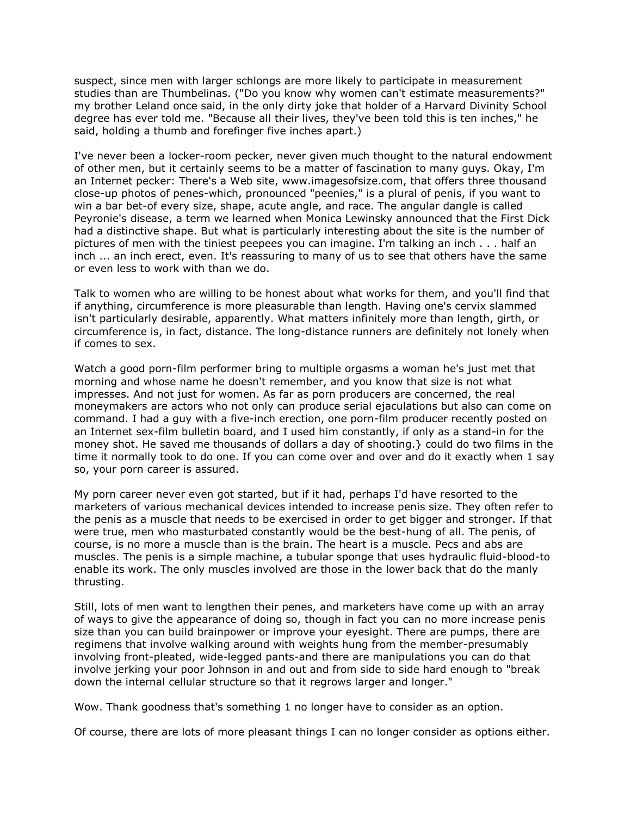suspect, since men with larger schlongs are more likely to participate in measurement studies than are Thumbelinas. ("Do you know why women can't estimate measurements?" my brother Leland once said, in the only dirty joke that holder of a Harvard Divinity School degree has ever told me. "Because all their lives, they've been told this is ten inches," he said, holding a thumb and forefinger five inches apart.)

I've never been a locker-room pecker, never given much thought to the natural endowment of other men, but it certainly seems to be a matter of fascination to many guys. Okay, I'm an Internet pecker: There's a Web site, www.imagesofsize.com, that offers three thousand close-up photos of penes-which, pronounced "peenies," is a plural of penis, if you want to win a bar bet-of every size, shape, acute angle, and race. The angular dangle is called Peyronie's disease, a term we learned when Monica Lewinsky announced that the First Dick had a distinctive shape. But what is particularly interesting about the site is the number of pictures of men with the tiniest peepees you can imagine. I'm talking an inch . . . half an inch ... an inch erect, even. It's reassuring to many of us to see that others have the same or even less to work with than we do.

Talk to women who are willing to be honest about what works for them, and you'll find that if anything, circumference is more pleasurable than length. Having one's cervix slammed isn't particularly desirable, apparently. What matters infinitely more than length, girth, or circumference is, in fact, distance. The long-distance runners are definitely not lonely when if comes to sex.

Watch a good porn-film performer bring to multiple orgasms a woman he's just met that morning and whose name he doesn't remember, and you know that size is not what impresses. And not just for women. As far as porn producers are concerned, the real moneymakers are actors who not only can produce serial ejaculations but also can come on command. I had a guy with a five-inch erection, one porn-film producer recently posted on an Internet sex-film bulletin board, and I used him constantly, if only as a stand-in for the money shot. He saved me thousands of dollars a day of shooting.} could do two films in the time it normally took to do one. If you can come over and over and do it exactly when 1 say so, your porn career is assured.

My porn career never even got started, but if it had, perhaps I'd have resorted to the marketers of various mechanical devices intended to increase penis size. They often refer to the penis as a muscle that needs to be exercised in order to get bigger and stronger. If that were true, men who masturbated constantly would be the best-hung of all. The penis, of course, is no more a muscle than is the brain. The heart is a muscle. Pecs and abs are muscles. The penis is a simple machine, a tubular sponge that uses hydraulic fluid-blood-to enable its work. The only muscles involved are those in the lower back that do the manly thrusting.

Still, lots of men want to lengthen their penes, and marketers have come up with an array of ways to give the appearance of doing so, though in fact you can no more increase penis size than you can build brainpower or improve your eyesight. There are pumps, there are regimens that involve walking around with weights hung from the member-presumably involving front-pleated, wide-legged pants-and there are manipulations you can do that involve jerking your poor Johnson in and out and from side to side hard enough to "break down the internal cellular structure so that it regrows larger and longer."

Wow. Thank goodness that's something 1 no longer have to consider as an option.

Of course, there are lots of more pleasant things I can no longer consider as options either.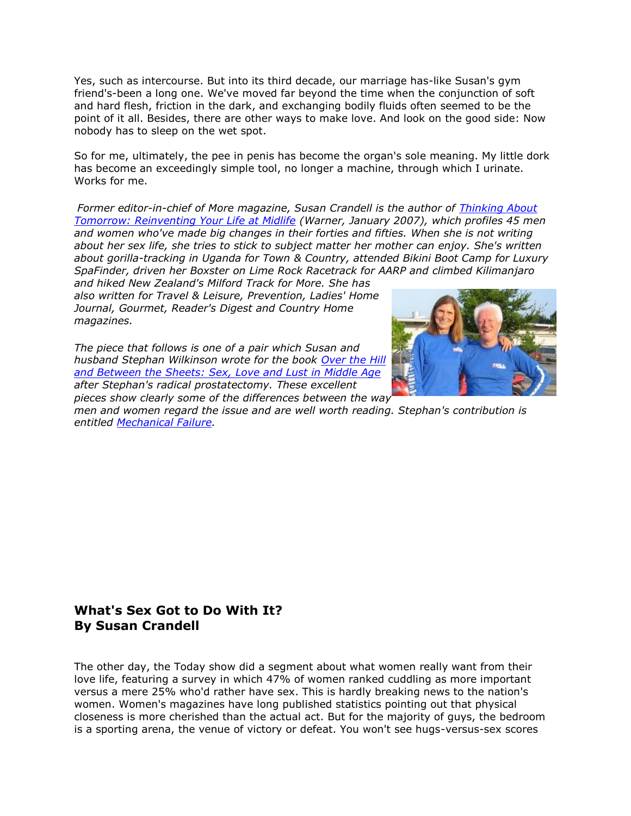Yes, such as intercourse. But into its third decade, our marriage has-like Susan's gym friend's-been a long one. We've moved far beyond the time when the conjunction of soft and hard flesh, friction in the dark, and exchanging bodily fluids often seemed to be the point of it all. Besides, there are other ways to make love. And look on the good side: Now nobody has to sleep on the wet spot.

So for me, ultimately, the pee in penis has become the organ's sole meaning. My little dork has become an exceedingly simple tool, no longer a machine, through which I urinate. Works for me.

*Former editor-in-chief of More magazine, Susan Crandell is the author of [Thinking About](http://www.susancrandell.com/Home.html)  [Tomorrow: Reinventing Your Life at Midlife](http://www.susancrandell.com/Home.html) (Warner, January 2007), which profiles 45 men and women who've made big changes in their forties and fifties. When she is not writing about her sex life, she tries to stick to subject matter her mother can enjoy. She's written about gorilla-tracking in Uganda for Town & Country, attended Bikini Boot Camp for Luxury SpaFinder, driven her Boxster on Lime Rock Racetrack for AARP and climbed Kilimanjaro* 

*and hiked New Zealand's Milford Track for More. She has also written for Travel & Leisure, Prevention, Ladies' Home Journal, Gourmet, Reader's Digest and Country Home magazines.* 

*The piece that follows is one of a pair which Susan and husband Stephan Wilkinson wrote for the book [Over the Hill](http://www.amazon.com/Over-Hill-Between-Sheets-Middle/dp/0446580791)  [and Between the Sheets: Sex, Love and Lust in Middle Age](http://www.amazon.com/Over-Hill-Between-Sheets-Middle/dp/0446580791) after Stephan's radical prostatectomy. These excellent pieces show clearly some of the differences between the way* 



*men and women regard the issue and are well worth reading. Stephan's contribution is entitled [Mechanical Failure.](http://www.yananow.org/MechanicalFailure.htm)*

#### **What's Sex Got to Do With It? By Susan Crandell**

The other day, the Today show did a segment about what women really want from their love life, featuring a survey in which 47% of women ranked cuddling as more important versus a mere 25% who'd rather have sex. This is hardly breaking news to the nation's women. Women's magazines have long published statistics pointing out that physical closeness is more cherished than the actual act. But for the majority of guys, the bedroom is a sporting arena, the venue of victory or defeat. You won't see hugs-versus-sex scores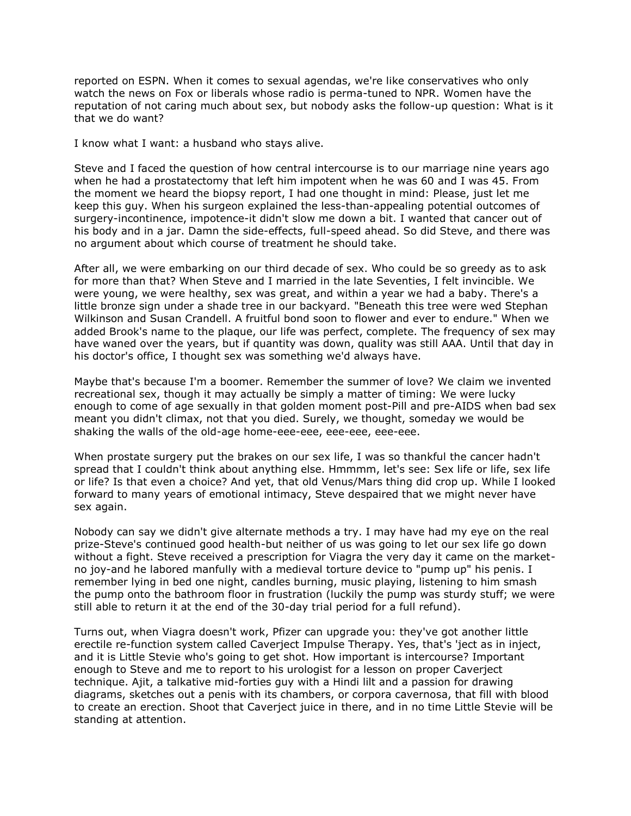reported on ESPN. When it comes to sexual agendas, we're like conservatives who only watch the news on Fox or liberals whose radio is perma-tuned to NPR. Women have the reputation of not caring much about sex, but nobody asks the follow-up question: What is it that we do want?

I know what I want: a husband who stays alive.

Steve and I faced the question of how central intercourse is to our marriage nine years ago when he had a prostatectomy that left him impotent when he was 60 and I was 45. From the moment we heard the biopsy report, I had one thought in mind: Please, just let me keep this guy. When his surgeon explained the less-than-appealing potential outcomes of surgery-incontinence, impotence-it didn't slow me down a bit. I wanted that cancer out of his body and in a jar. Damn the side-effects, full-speed ahead. So did Steve, and there was no argument about which course of treatment he should take.

After all, we were embarking on our third decade of sex. Who could be so greedy as to ask for more than that? When Steve and I married in the late Seventies, I felt invincible. We were young, we were healthy, sex was great, and within a year we had a baby. There's a little bronze sign under a shade tree in our backyard. "Beneath this tree were wed Stephan Wilkinson and Susan Crandell. A fruitful bond soon to flower and ever to endure." When we added Brook's name to the plaque, our life was perfect, complete. The frequency of sex may have waned over the years, but if quantity was down, quality was still AAA. Until that day in his doctor's office, I thought sex was something we'd always have.

Maybe that's because I'm a boomer. Remember the summer of love? We claim we invented recreational sex, though it may actually be simply a matter of timing: We were lucky enough to come of age sexually in that golden moment post-Pill and pre-AIDS when bad sex meant you didn't climax, not that you died. Surely, we thought, someday we would be shaking the walls of the old-age home-eee-eee, eee-eee, eee-eee.

When prostate surgery put the brakes on our sex life, I was so thankful the cancer hadn't spread that I couldn't think about anything else. Hmmmm, let's see: Sex life or life, sex life or life? Is that even a choice? And yet, that old Venus/Mars thing did crop up. While I looked forward to many years of emotional intimacy, Steve despaired that we might never have sex again.

Nobody can say we didn't give alternate methods a try. I may have had my eye on the real prize-Steve's continued good health-but neither of us was going to let our sex life go down without a fight. Steve received a prescription for Viagra the very day it came on the marketno joy-and he labored manfully with a medieval torture device to "pump up" his penis. I remember lying in bed one night, candles burning, music playing, listening to him smash the pump onto the bathroom floor in frustration (luckily the pump was sturdy stuff; we were still able to return it at the end of the 30-day trial period for a full refund).

Turns out, when Viagra doesn't work, Pfizer can upgrade you: they've got another little erectile re-function system called Caverject Impulse Therapy. Yes, that's 'ject as in inject, and it is Little Stevie who's going to get shot. How important is intercourse? Important enough to Steve and me to report to his urologist for a lesson on proper Caverject technique. Ajit, a talkative mid-forties guy with a Hindi lilt and a passion for drawing diagrams, sketches out a penis with its chambers, or corpora cavernosa, that fill with blood to create an erection. Shoot that Caverject juice in there, and in no time Little Stevie will be standing at attention.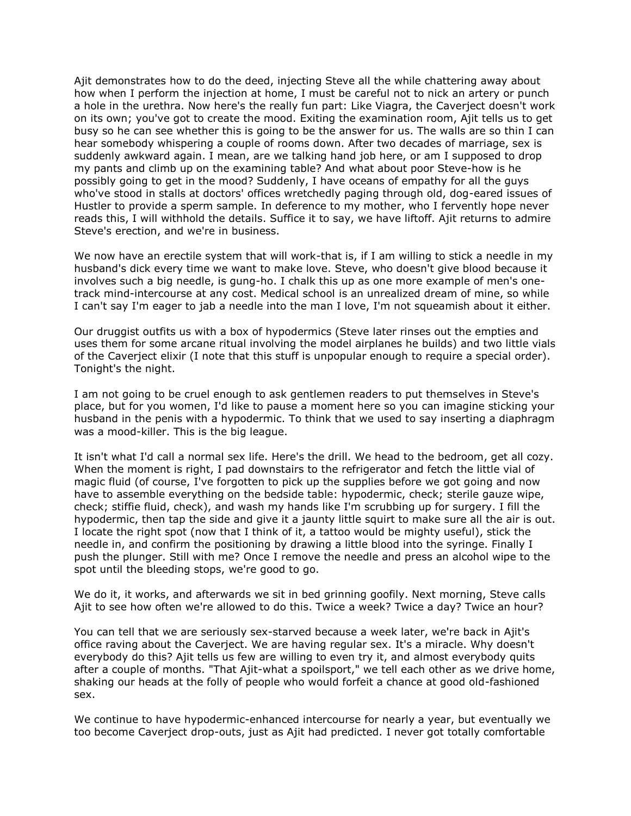Ajit demonstrates how to do the deed, injecting Steve all the while chattering away about how when I perform the injection at home, I must be careful not to nick an artery or punch a hole in the urethra. Now here's the really fun part: Like Viagra, the Caverject doesn't work on its own; you've got to create the mood. Exiting the examination room, Ajit tells us to get busy so he can see whether this is going to be the answer for us. The walls are so thin I can hear somebody whispering a couple of rooms down. After two decades of marriage, sex is suddenly awkward again. I mean, are we talking hand job here, or am I supposed to drop my pants and climb up on the examining table? And what about poor Steve-how is he possibly going to get in the mood? Suddenly, I have oceans of empathy for all the guys who've stood in stalls at doctors' offices wretchedly paging through old, dog-eared issues of Hustler to provide a sperm sample. In deference to my mother, who I fervently hope never reads this, I will withhold the details. Suffice it to say, we have liftoff. Ajit returns to admire Steve's erection, and we're in business.

We now have an erectile system that will work-that is, if I am willing to stick a needle in my husband's dick every time we want to make love. Steve, who doesn't give blood because it involves such a big needle, is gung-ho. I chalk this up as one more example of men's onetrack mind-intercourse at any cost. Medical school is an unrealized dream of mine, so while I can't say I'm eager to jab a needle into the man I love, I'm not squeamish about it either.

Our druggist outfits us with a box of hypodermics (Steve later rinses out the empties and uses them for some arcane ritual involving the model airplanes he builds) and two little vials of the Caverject elixir (I note that this stuff is unpopular enough to require a special order). Tonight's the night.

I am not going to be cruel enough to ask gentlemen readers to put themselves in Steve's place, but for you women, I'd like to pause a moment here so you can imagine sticking your husband in the penis with a hypodermic. To think that we used to say inserting a diaphragm was a mood-killer. This is the big league.

It isn't what I'd call a normal sex life. Here's the drill. We head to the bedroom, get all cozy. When the moment is right, I pad downstairs to the refrigerator and fetch the little vial of magic fluid (of course, I've forgotten to pick up the supplies before we got going and now have to assemble everything on the bedside table: hypodermic, check; sterile gauze wipe, check; stiffie fluid, check), and wash my hands like I'm scrubbing up for surgery. I fill the hypodermic, then tap the side and give it a jaunty little squirt to make sure all the air is out. I locate the right spot (now that I think of it, a tattoo would be mighty useful), stick the needle in, and confirm the positioning by drawing a little blood into the syringe. Finally I push the plunger. Still with me? Once I remove the needle and press an alcohol wipe to the spot until the bleeding stops, we're good to go.

We do it, it works, and afterwards we sit in bed grinning goofily. Next morning, Steve calls Ajit to see how often we're allowed to do this. Twice a week? Twice a day? Twice an hour?

You can tell that we are seriously sex-starved because a week later, we're back in Ajit's office raving about the Caverject. We are having regular sex. It's a miracle. Why doesn't everybody do this? Ajit tells us few are willing to even try it, and almost everybody quits after a couple of months. "That Ajit-what a spoilsport," we tell each other as we drive home, shaking our heads at the folly of people who would forfeit a chance at good old-fashioned sex.

We continue to have hypodermic-enhanced intercourse for nearly a year, but eventually we too become Caverject drop-outs, just as Ajit had predicted. I never got totally comfortable